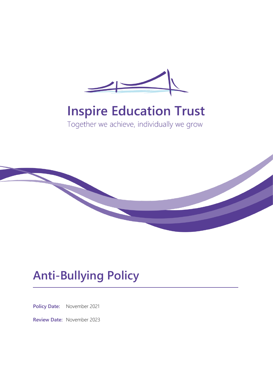

# **Inspire Education Trust**

Together we achieve, individually we grow



# **Anti-Bullying Policy**

**Policy Date:** November 2021

**Review Date:** November 2023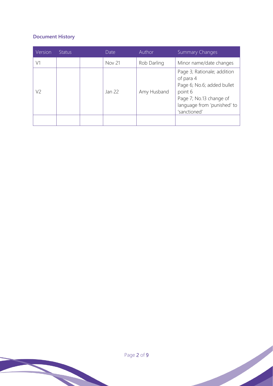# **Document History**

| Version | Status | Date          | Author      | <b>Summary Changes</b>                                                                                                                                      |
|---------|--------|---------------|-------------|-------------------------------------------------------------------------------------------------------------------------------------------------------------|
| V1      |        | <b>Nov 21</b> | Rob Darling | Minor name/date changes                                                                                                                                     |
| V2      |        | Jan 22        | Amy Husband | Page 3; Rationale; addition<br>of para 4<br>Page 6; No.6; added bullet<br>point 6<br>Page 7; No.13 change of<br>language from 'punished' to<br>'sanctioned' |
|         |        |               |             |                                                                                                                                                             |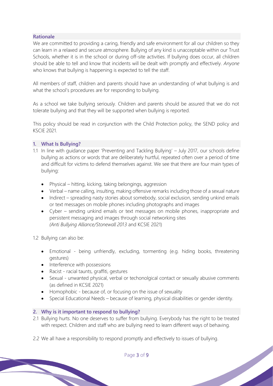#### **Rationale**

We are committed to providing a caring, friendly and safe environment for all our children so they can learn in a relaxed and secure atmosphere. Bullying of any kind is unacceptable within our Trust Schools, whether it is in the school or during off-site activities. If bullying does occur, all children should be able to tell and know that incidents will be dealt with promptly and effectively. *Anyone*  who knows that bullying is happening is expected to tell the staff.

All members of staff, children and parents should have an understanding of what bullying is and what the school's procedures are for responding to bullying.

As a school we take bullying seriously. Children and parents should be assured that we do not tolerate bullying and that they will be supported when bullying is reported.

This policy should be read in conjunction with the Child Protection policy, the SEND policy and KSCIE 2021.

#### **1. What Is Bullying?**

- 1.1 In line with guidance paper 'Preventing and Tackling Bullying' July 2017, our schools define bullying as actions or words that are deliberately hurtful, repeated often over a period of time and difficult for victims to defend themselves against. We see that there are four main types of bullying:
	- Physical hitting, kicking, taking belongings, aggression
	- Verbal name calling, insulting, making offensive remarks including those of a sexual nature
	- Indirect spreading nasty stories about somebody, social exclusion, sending unkind emails or text messages on mobile phones including photographs and images
	- Cyber sending unkind emails or text messages on mobile phones, inappropriate and persistent messaging and images through social networking sites *(Anti Bullying Alliance/Stonewall 2013* and KCSIE 2021)

1.2 Bullying can also be:

- Emotional being unfriendly, excluding, tormenting (e.g. hiding books, threatening gestures)
- Interference with possessions
- Racist racial taunts, graffiti, gestures
- Sexual unwanted physical, verbal or techonolgical contact or sexually abusive comments (as defined in KCSIE 2021)
- Homophobic because of, or focusing on the issue of sexuality
- Special Educational Needs because of learning, physical disabilities or gender identity.

### **2. Why is it important to respond to bullying?**

- 2.1 Bullying hurts. No one deserves to suffer from bullying. Everybody has the right to be treated with respect. Children and staff who are bullying need to learn different ways of behaving.
- 2.2 We all have a responsibility to respond promptly and effectively to issues of bullying.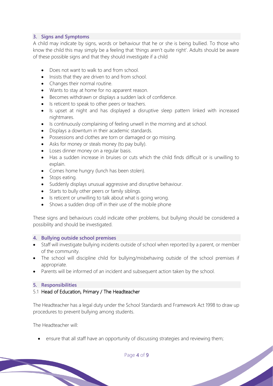# **3. Signs and Symptoms**

A child may indicate by signs, words or behaviour that he or she is being bullied. To those who know the child this may simply be a feeling that 'things aren't quite right'. Adults should be aware of these possible signs and that they should investigate if a child

- Does not want to walk to and from school.
- Insists that they are driven to and from school.
- Changes their normal routine.
- Wants to stay at home for no apparent reason.
- Becomes withdrawn or displays a sudden lack of confidence.
- Is reticent to speak to other peers or teachers.
- Is upset at night and has displayed a disruptive sleep pattern linked with increased nightmares.
- Is continuously complaining of feeling unwell in the morning and at school.
- Displays a downturn in their academic standards.
- Possessions and clothes are torn or damaged or go missing.
- Asks for money or steals money (to pay bully).
- Loses dinner money on a regular basis.
- Has a sudden increase in bruises or cuts which the child finds difficult or is unwilling to explain.
- Comes home hungry (lunch has been stolen).
- Stops eating.
- Suddenly displays unusual aggressive and disruptive behaviour.
- Starts to bully other peers or family siblings.
- Is reticent or unwilling to talk about what is going wrong.
- Shows a sudden drop off in their use of the mobile phone

These signs and behaviours could indicate other problems, but bullying should be considered a possibility and should be investigated.

#### **4. Bullying outside school premises**

- Staff will investigate bullying incidents outside of school when reported by a parent, or member of the community.
- The school will discipline child for bullying/misbehaving outside of the school premises if appropriate.
- Parents will be informed of an incident and subsequent action taken by the school.

#### **5. Responsibilities**

#### 5.1 Head of Education, Primary / The Headteacher

The Headteacher has a legal duty under the School Standards and Framework Act 1998 to draw up procedures to prevent bullying among students.

The Headteacher will:

ensure that all staff have an opportunity of discussing strategies and reviewing them;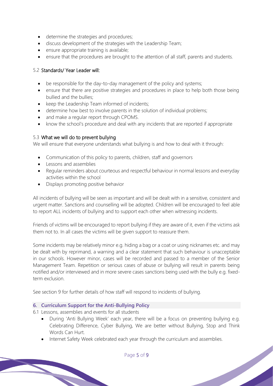- determine the strategies and procedures;
- discuss development of the strategies with the Leadership Team;
- ensure appropriate training is available;
- ensure that the procedures are brought to the attention of all staff, parents and students.

### 5.2 Standards/ Year Leader will:

- be responsible for the day-to-day management of the policy and systems;
- ensure that there are positive strategies and procedures in place to help both those being bullied and the bullies;
- keep the Leadership Team informed of incidents;
- determine how best to involve parents in the solution of individual problems;
- and make a regular report through CPOMS.
- know the school's procedure and deal with any incidents that are reported if appropriate

### 5.3 What we will do to prevent bullying

We will ensure that everyone understands what bullying is and how to deal with it through:

- Communication of this policy to parents, children, staff and governors
- Lessons and assemblies
- Regular reminders about courteous and respectful behaviour in normal lessons and everyday activities within the school
- Displays promoting positive behavior

All incidents of bullying will be seen as important and will be dealt with in a sensitive, consistent and urgent matter. Sanctions and counselling will be adopted. Children will be encouraged to feel able to report ALL incidents of bullying and to support each other when witnessing incidents.

Friends of victims will be encouraged to report bullying if they are aware of it, even if the victims ask them not to. In all cases the victims will be given support to reassure them.

Some incidents may be relatively minor e.g. hiding a bag or a coat or using nicknames etc. and may be dealt with by reprimand, a warning and a clear statement that such behaviour is unacceptable in our schools. However minor, cases will be recorded and passed to a member of the Senior Management Team. Repetition or serious cases of abuse or bullying will result in parents being notified and/or interviewed and in more severe cases sanctions being used with the bully e.g. fixedterm exclusion.

See section 9 for further details of how staff will respond to incidents of bullying.

### **6. Curriculum Support for the Anti-Bullying Policy**

6.1 Lessons, assemblies and events for all students

- During 'Anti Bullying Week' each year, there will be a focus on preventing bullying e.g. Celebrating Difference, Cyber Bullying, We are better without Bullying, Stop and Think Words Can Hurt.
- Internet Safety Week celebrated each year through the curriculum and assemblies.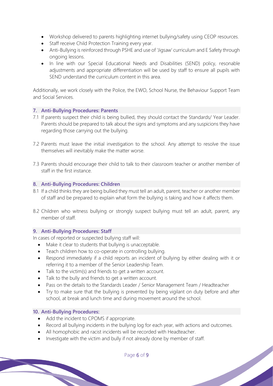- Workshop delivered to parents highlighting internet bullying/safety using CEOP resources.
- Staff receive Child Protection Training every year.
- Anti-Bullying is reinforced through PSHE and use of 'Jigsaw' curriculum and E Safety through ongoing lessons.
- In line with our Special Educational Needs and Disabilities (SEND) policy, resonable adjustments and appropriate differentiation will be used by staff to ensure all pupils with SEND understand the curriculum content in this area.

Additionally, we work closely with the Police, the EWO, School Nurse, the Behaviour Support Team and Social Services.

### **7. Anti-Bullying Procedures: Parents**

- 7.1 If parents suspect their child is being bullied, they should contact the Standards/ Year Leader. Parents should be prepared to talk about the signs and symptoms and any suspicions they have regarding those carrying out the bullying.
- 7.2 Parents must leave the initial investigation to the school. Any attempt to resolve the issue themselves will inevitably make the matter worse.
- 7.3 Parents should encourage their child to talk to their classroom teacher or another member of staff in the first instance.

#### **8. Anti-Bullying Procedures: Children**

- 8.1 If a child thinks they are being bullied they must tell an adult, parent, teacher or another member of staff and be prepared to explain what form the bullying is taking and how it affects them.
- 8.2 Children who witness bullying or strongly suspect bullying must tell an adult, parent, any member of staff.

### **9. Anti-Bullying Procedures: Staff**

In cases of reported or suspected bullying staff will:

- Make it clear to students that bullying is unacceptable.
- Teach children how to co-operate in controlling bullying.
- Respond immediately if a child reports an incident of bullying by either dealing with it or referring it to a member of the Senior Leadership Team.
- Talk to the victim(s) and friends to get a written account.
- Talk to the bully and friends to get a written account.
- Pass on the details to the Standards Leader / Senior Management Team / Headteacher
- Try to make sure that the bullying is prevented by being vigilant on duty before and after school, at break and lunch time and during movement around the school.

#### **10. Anti-Bullying Procedures:**

- Add the incident to CPOMS if appropriate.
- Record all bullying incidents in the bullying log for each year, with actions and outcomes.
- All homophobic and racist incidents will be recorded with Headteacher.
- Investigate with the victim and bully if not already done by member of staff.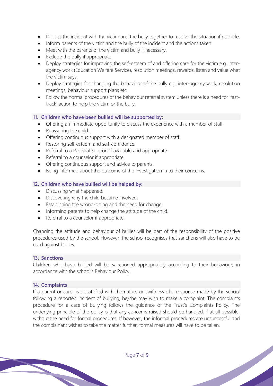- Discuss the incident with the victim and the bully together to resolve the situation if possible.
- Inform parents of the victim and the bully of the incident and the actions taken.
- Meet with the parents of the victim and bully if necessary.
- Exclude the bully if appropriate.
- Deploy strategies for improving the self-esteem of and offering care for the victim e.g. interagency work (Education Welfare Service), resolution meetings, rewards, listen and value what the victim says.
- Deploy strategies for changing the behaviour of the bully e.g. inter-agency work, resolution meetings, behaviour support plans etc.
- Follow the normal procedures of the behaviour referral system unless there is a need for 'fasttrack' action to help the victim or the bully.

### **11. Children who have been bullied will be supported by:**

- Offering an immediate opportunity to discuss the experience with a member of staff.
- Reassuring the child.
- Offering continuous support with a designated member of staff.
- Restoring self-esteem and self-confidence.
- Referral to a Pastoral Support if available and appropriate.
- Referral to a counselor if appropriate.
- Offering continuous support and advice to parents.
- Being informed about the outcome of the investigation in to their concerns.

# **12. Children who have bullied will be helped by:**

- Discussing what happened.
- Discovering why the child became involved.
- Establishing the wrong-doing and the need for change.
- Informing parents to help change the attitude of the child.
- Referral to a counselor if appropriate.

Changing the attitude and behaviour of bullies will be part of the responsibility of the positive procedures used by the school. However, the school recognises that sanctions will also have to be used against bullies.

### **13. Sanctions**

Children who have bullied will be sanctioned appropriately according to their behaviour, in accordance with the school's Behaviour Policy.

### **14. Complaints**

If a parent or carer is dissatisfied with the nature or swiftness of a response made by the school following a reported incident of bullying, he/she may wish to make a complaint. The complaints procedure for a case of bullying follows the guidance of the Trust's Complaints Policy. The underlying principle of the policy is that any concerns raised should be handled, if at all possible, without the need for formal procedures. If however, the informal procedures are unsuccessful and the complainant wishes to take the matter further, formal measures will have to be taken.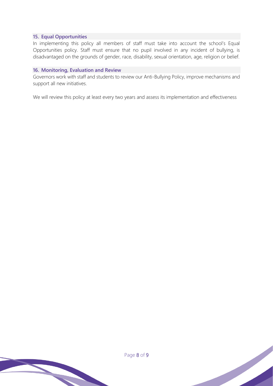#### **15. Equal Opportunities**

In implementing this policy all members of staff must take into account the school's Equal Opportunities policy. Staff must ensure that no pupil involved in any incident of bullying, is disadvantaged on the grounds of gender, race, disability, sexual orientation, age, religion or belief.

#### **16. Monitoring, Evaluation and Review**

Governors work with staff and students to review our Anti-Bullying Policy, improve mechanisms and support all new initiatives.

We will review this policy at least every two years and assess its implementation and effectiveness